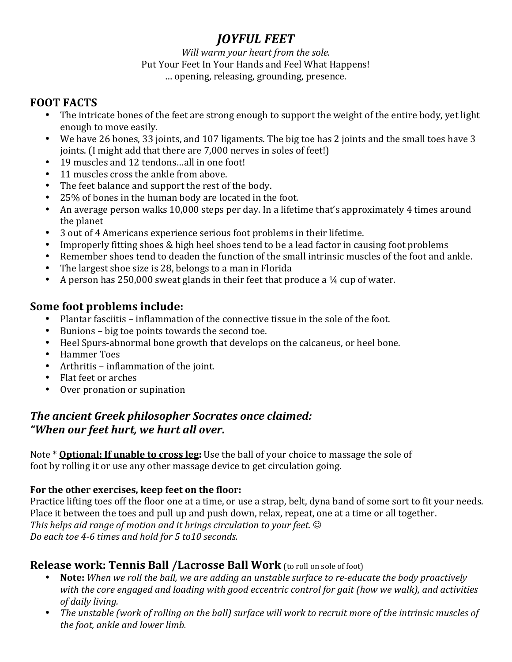# *JOYFUL!FEET*

#### *Will warm your heart from the sole.* Put Your Feet In Your Hands and Feel What Happens! ... opening, releasing, grounding, presence.

## **FOOT FACTS**

- The intricate bones of the feet are strong enough to support the weight of the entire body, yet light enough to move easily.
- We have 26 bones, 33 joints, and 107 ligaments. The big toe has 2 joints and the small toes have 3 joints. (I might add that there are 7,000 nerves in soles of feet!)
- $\cdot$  19 muscles and 12 tendons...all in one foot!
- $\cdot$  11 muscles cross the ankle from above.
- The feet balance and support the rest of the body.
- 25% of bones in the human body are located in the foot.
- An average person walks 10,000 steps per day. In a lifetime that's approximately 4 times around the planet
- 3 out of 4 Americans experience serious foot problems in their lifetime.
- Improperly fitting shoes & high heel shoes tend to be a lead factor in causing foot problems
- Remember shoes tend to deaden the function of the small intrinsic muscles of the foot and ankle.
- The largest shoe size is 28, belongs to a man in Florida
- A person has 250,000 sweat glands in their feet that produce a  $\frac{1}{4}$  cup of water.

## **Some foot problems include:**

- Plantar fasciitis inflammation of the connective tissue in the sole of the foot.
- $\bullet$  Bunions big toe points towards the second toe.
- Heel Spurs-abnormal bone growth that develops on the calcaneus, or heel bone.
- Hammer Toes
- Arthritis inflammation of the joint.
- Flat feet or arches
- Over pronation or supination

## *The ancient Greek philosopher Socrates once claimed: "When!our!feet!hurt,!we!hurt!all!over.*

Note \* **Optional: If unable to cross leg:** Use the ball of your choice to massage the sole of foot by rolling it or use any other massage device to get circulation going.

### For the other exercises, keep feet on the floor:

Practice lifting toes off the floor one at a time, or use a strap, belt, dyna band of some sort to fit your needs. Place it between the toes and pull up and push down, relax, repeat, one at a time or all together. *This helps aid range of motion and it brings circulation to your feet.*  $\odot$ Do each toe 4-6 times and hold for 5 to10 seconds.

### **Release work: Tennis Ball /Lacrosse Ball Work** (to roll on sole of foot)

- **Note:** *When we roll the ball, we are adding an unstable surface to re-educate the body proactively* with the core engaged and loading with good eccentric control for gait (how we walk), and activities *of daily living.*
- The unstable (work of rolling on the ball) surface will work to recruit more of the intrinsic muscles of *the foot, ankle and lower limb.*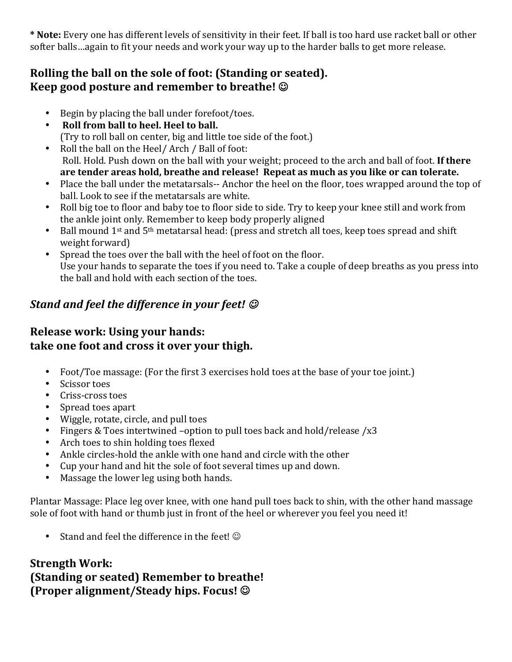\* Note: Every one has different levels of sensitivity in their feet. If ball is too hard use racket ball or other softer balls…again to fit your needs and work your way up to the harder balls to get more release.

## Rolling the ball on the sole of foot: (Standing or seated). **Keep good posture and remember to breathe!** ©

- $\cdot$  Begin by placing the ball under forefoot/toes.
- Roll from ball to heel. Heel to ball. (Try to roll ball on center, big and little toe side of the foot.)
- Roll the ball on the Heel/ Arch / Ball of foot:  $R$ oll. Hold. Push down on the ball with your weight; proceed to the arch and ball of foot. If there are tender areas hold, breathe and release! Repeat as much as you like or can tolerate.
- Place the ball under the metatarsals-- Anchor the heel on the floor, toes wrapped around the top of ball. Look to see if the metatarsals are white.
- Roll big toe to floor and baby toe to floor side to side. Try to keep your knee still and work from the ankle joint only. Remember to keep body properly aligned
- Ball mound 1st and  $5<sup>th</sup>$  metatarsal head: (press and stretch all toes, keep toes spread and shift weight forward)
- Spread the toes over the ball with the heel of foot on the floor. Use your hands to separate the toes if you need to. Take a couple of deep breaths as you press into the ball and hold with each section of the toes.

# *Stand and feel the difference in your feet!*  $\odot$

## **Release work: Using your hands:** take one foot and cross it over your thigh.

- Foot/Toe massage: (For the first 3 exercises hold toes at the base of your toe joint.)
- $\cdot$  Scissor toes
- Criss-cross toes
- Spread toes apart
- Wiggle, rotate, circle, and pull toes
- Fingers & Toes intertwined –option to pull toes back and hold/release /x3
- Arch toes to shin holding toes flexed
- Ankle circles-hold the ankle with one hand and circle with the other
- Cup your hand and hit the sole of foot several times up and down.
- Massage the lower leg using both hands.

Plantar Massage: Place leg over knee, with one hand pull toes back to shin, with the other hand massage sole of foot with hand or thumb just in front of the heel or wherever you feel you need it!

• Stand and feel the difference in the feet!  $\odot$ 

## **Strength Work: (Standing or seated) Remember to breathe! (Proper\$alignment/Steady\$hips. Focus!\$**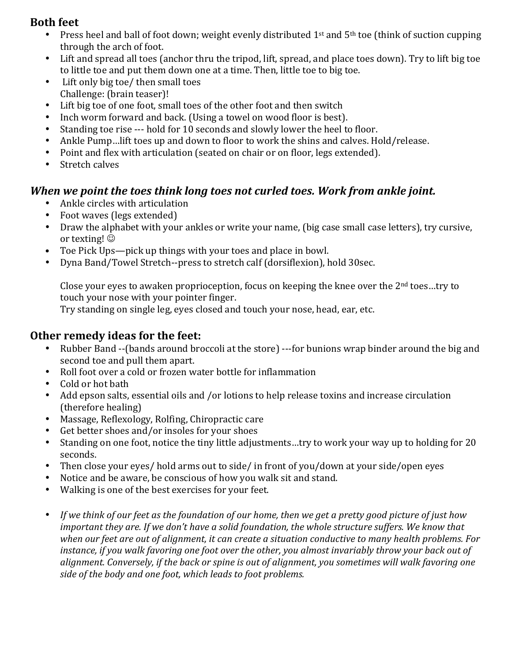### **Both feet**

- Press heel and ball of foot down; weight evenly distributed 1st and  $5<sup>th</sup>$  toe (think of suction cupping through the arch of foot.
- Lift and spread all toes (anchor thru the tripod, lift, spread, and place toes down). Try to lift big toe to little toe and put them down one at a time. Then, little toe to big toe.
- Lift only big toe/ then small toes Challenge: (brain teaser)!
- $\bullet$  Lift big toe of one foot, small toes of the other foot and then switch
- Inch worm forward and back. (Using a towel on wood floor is best).
- Standing toe rise --- hold for 10 seconds and slowly lower the heel to floor.
- Ankle Pump…lift toes up and down to floor to work the shins and calves. Hold/release.
- Point and flex with articulation (seated on chair or on floor, legs extended).
- $\bullet$  Stretch calves

#### *When we point the toes think long toes not curled toes. Work from ankle joint.*

- Ankle circles with articulation
- Foot waves (legs extended)
- Draw the alphabet with your ankles or write your name, (big case small case letters), try cursive, or texting!  $\odot$
- Toe Pick Ups—pick up things with your toes and place in bowl.
- Dyna Band/Towel Stretch--press to stretch calf (dorsiflexion), hold 30sec.

Close your eyes to awaken proprioception, focus on keeping the knee over the  $2<sup>nd</sup>$  toes...try to touch your nose with your pointer finger.

Try standing on single leg, eyes closed and touch your nose, head, ear, etc.

#### **Other remedy ideas for the feet:**

- Rubber Band --(bands around broccoli at the store) ---for bunions wrap binder around the big and second toe and pull them apart.
- Roll foot over a cold or frozen water bottle for inflammation
- Cold or hot bath
- Add epson salts, essential oils and /or lotions to help release toxins and increase circulation (therefore healing)
- Massage, Reflexology, Rolfing, Chiropractic care
- Get better shoes and/or insoles for your shoes
- Standing on one foot, notice the tiny little adjustments…try to work your way up to holding for 20 seconds.
- Then close your eyes/ hold arms out to side/ in front of you/down at your side/open eyes
- Notice and be aware, be conscious of how you walk sit and stand.
- Walking is one of the best exercises for your feet.
- If we think of our feet as the foundation of our home, then we get a pretty good picture of just how *important they are. If we don't have a solid foundation, the whole structure suffers. We know that when our feet are out of alignment, it can create a situation conductive to many health problems. For instance, if you walk favoring one foot over the other, you almost invariably throw your back out of* alignment. Conversely, if the back or spine is out of alignment, you sometimes will walk favoring one side of the body and one foot, which leads to foot problems.